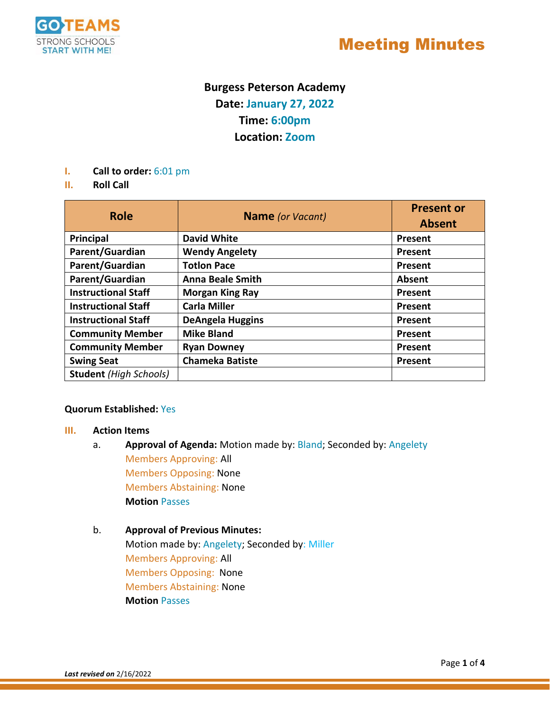

## Meeting Minutes

### **Burgess Peterson Academy Date: January 27, 2022 Time: 6:00pm Location: Zoom**

- **I. Call to order:** 6:01 pm
- **II. Roll Call**

| <b>Role</b>                   | <b>Name</b> (or Vacant) | <b>Present or</b><br><b>Absent</b> |
|-------------------------------|-------------------------|------------------------------------|
| Principal                     | <b>David White</b>      | Present                            |
| Parent/Guardian               | <b>Wendy Angelety</b>   | Present                            |
| Parent/Guardian               | <b>Totlon Pace</b>      | Present                            |
| Parent/Guardian               | <b>Anna Beale Smith</b> | <b>Absent</b>                      |
| <b>Instructional Staff</b>    | <b>Morgan King Ray</b>  | Present                            |
| <b>Instructional Staff</b>    | <b>Carla Miller</b>     | Present                            |
| <b>Instructional Staff</b>    | <b>DeAngela Huggins</b> | Present                            |
| <b>Community Member</b>       | <b>Mike Bland</b>       | Present                            |
| <b>Community Member</b>       | <b>Ryan Downey</b>      | Present                            |
| <b>Swing Seat</b>             | <b>Chameka Batiste</b>  | Present                            |
| <b>Student</b> (High Schools) |                         |                                    |

#### **Quorum Established:** Yes

#### **III. Action Items**

a. **Approval of Agenda:** Motion made by: Bland; Seconded by: Angelety Members Approving: All Members Opposing: None Members Abstaining: None **Motion** Passes

### b. **Approval of Previous Minutes:**  Motion made by: Angelety; Seconded by: Miller Members Approving: All Members Opposing: None Members Abstaining: None **Motion** Passes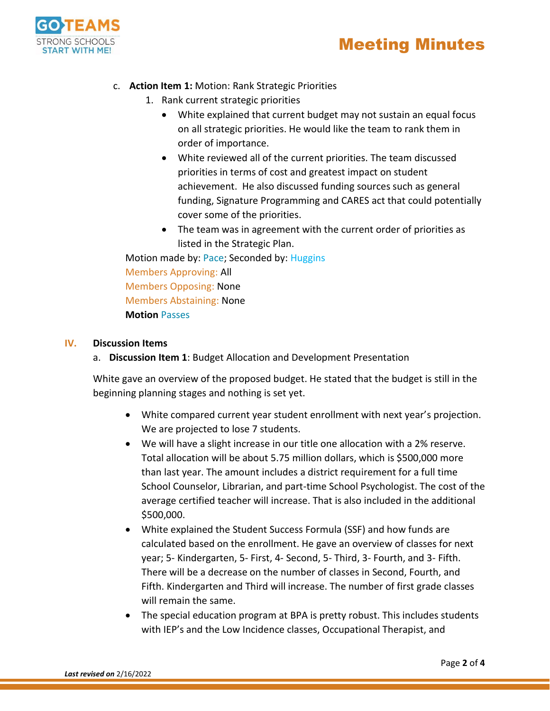



- c. **Action Item 1:** Motion: Rank Strategic Priorities
	- 1. Rank current strategic priorities
		- White explained that current budget may not sustain an equal focus on all strategic priorities. He would like the team to rank them in order of importance.
		- White reviewed all of the current priorities. The team discussed priorities in terms of cost and greatest impact on student achievement. He also discussed funding sources such as general funding, Signature Programming and CARES act that could potentially cover some of the priorities.
		- The team was in agreement with the current order of priorities as listed in the Strategic Plan.

Motion made by: Pace; Seconded by: Huggins Members Approving: All Members Opposing: None Members Abstaining: None **Motion** Passes

#### **IV. Discussion Items**

a. **Discussion Item 1**: Budget Allocation and Development Presentation

White gave an overview of the proposed budget. He stated that the budget is still in the beginning planning stages and nothing is set yet.

- White compared current year student enrollment with next year's projection. We are projected to lose 7 students.
- We will have a slight increase in our title one allocation with a 2% reserve. Total allocation will be about 5.75 million dollars, which is \$500,000 more than last year. The amount includes a district requirement for a full time School Counselor, Librarian, and part-time School Psychologist. The cost of the average certified teacher will increase. That is also included in the additional \$500,000.
- White explained the Student Success Formula (SSF) and how funds are calculated based on the enrollment. He gave an overview of classes for next year; 5- Kindergarten, 5- First, 4- Second, 5- Third, 3- Fourth, and 3- Fifth. There will be a decrease on the number of classes in Second, Fourth, and Fifth. Kindergarten and Third will increase. The number of first grade classes will remain the same.
- The special education program at BPA is pretty robust. This includes students with IEP's and the Low Incidence classes, Occupational Therapist, and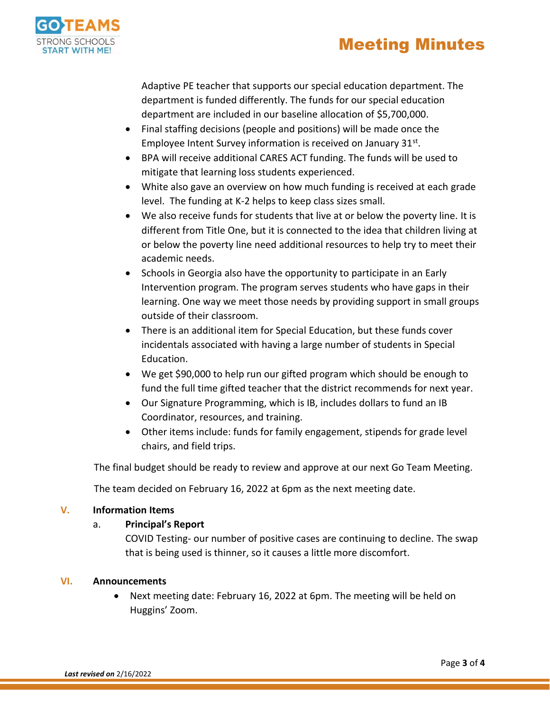



Adaptive PE teacher that supports our special education department. The department is funded differently. The funds for our special education department are included in our baseline allocation of \$5,700,000.

- Final staffing decisions (people and positions) will be made once the Employee Intent Survey information is received on January 31<sup>st</sup>.
- BPA will receive additional CARES ACT funding. The funds will be used to mitigate that learning loss students experienced.
- White also gave an overview on how much funding is received at each grade level. The funding at K-2 helps to keep class sizes small.
- We also receive funds for students that live at or below the poverty line. It is different from Title One, but it is connected to the idea that children living at or below the poverty line need additional resources to help try to meet their academic needs.
- Schools in Georgia also have the opportunity to participate in an Early Intervention program. The program serves students who have gaps in their learning. One way we meet those needs by providing support in small groups outside of their classroom.
- There is an additional item for Special Education, but these funds cover incidentals associated with having a large number of students in Special Education.
- We get \$90,000 to help run our gifted program which should be enough to fund the full time gifted teacher that the district recommends for next year.
- Our Signature Programming, which is IB, includes dollars to fund an IB Coordinator, resources, and training.
- Other items include: funds for family engagement, stipends for grade level chairs, and field trips.

The final budget should be ready to review and approve at our next Go Team Meeting.

The team decided on February 16, 2022 at 6pm as the next meeting date.

#### **V. Information Items**

#### a. **Principal's Report**

COVID Testing- our number of positive cases are continuing to decline. The swap that is being used is thinner, so it causes a little more discomfort.

#### **VI. Announcements**

 Next meeting date: February 16, 2022 at 6pm. The meeting will be held on Huggins' Zoom.